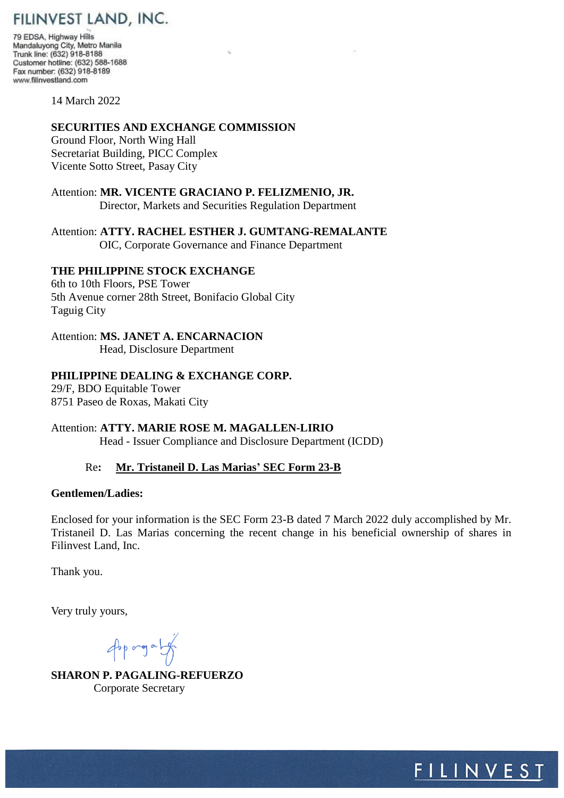# FILINVEST LAND, INC.

79 EDSA, Highway Hills Mandaluyong City, Metro Manila Trunk line: (632) 918-8188 Customer hotline: (632) 588-1688 Fax number: (632) 918-8189 www.filinvestland.com

14 March 2022

# **SECURITIES AND EXCHANGE COMMISSION**

Ground Floor, North Wing Hall Secretariat Building, PICC Complex Vicente Sotto Street, Pasay City

# Attention: **MR. VICENTE GRACIANO P. FELIZMENIO, JR.** Director, Markets and Securities Regulation Department

Attention: **ATTY. RACHEL ESTHER J. GUMTANG-REMALANTE** OIC, Corporate Governance and Finance Department

# **THE PHILIPPINE STOCK EXCHANGE**

6th to 10th Floors, PSE Tower 5th Avenue corner 28th Street, Bonifacio Global City Taguig City

# Attention: **MS. JANET A. ENCARNACION**

Head, Disclosure Department

# **PHILIPPINE DEALING & EXCHANGE CORP.**

29/F, BDO Equitable Tower 8751 Paseo de Roxas, Makati City

Attention: **ATTY. MARIE ROSE M. MAGALLEN-LIRIO** Head - Issuer Compliance and Disclosure Department (ICDD)

# Re**: Mr. Tristaneil D. Las Marias' SEC Form 23-B**

# **Gentlemen/Ladies:**

Enclosed for your information is the SEC Form 23-B dated 7 March 2022 duly accomplished by Mr. Tristaneil D. Las Marias concerning the recent change in his beneficial ownership of shares in Filinvest Land, Inc.

Thank you.

Very truly yours,

Approgram

**SHARON P. PAGALING-REFUERZO** Corporate Secretary

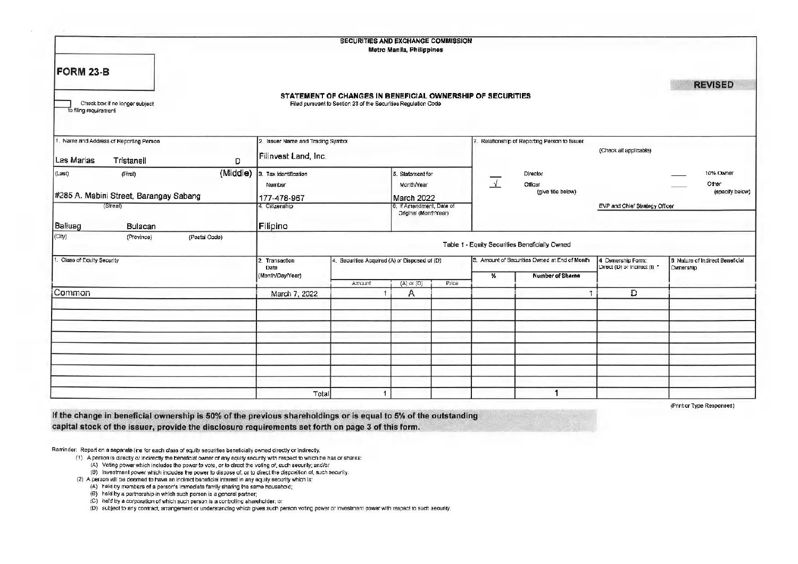|                                                                             |                                   | SECURITIES AND EXCHANGE COMMISSION                                                                                           | Metro Manila, Philippines                        |       |                          |                                                |                                                   |                                               |
|-----------------------------------------------------------------------------|-----------------------------------|------------------------------------------------------------------------------------------------------------------------------|--------------------------------------------------|-------|--------------------------|------------------------------------------------|---------------------------------------------------|-----------------------------------------------|
| <b>FORM 23-B</b><br>Check box if no longer subject<br>To filing requirement |                                   | STATEMENT OF CHANGES IN BENEFICIAL OWNERSHIP OF SECURITIES<br>Filed pursuant to Section 23 of the Securities Regulation Code |                                                  |       |                          |                                                |                                                   | <b>REVISED</b>                                |
| 1. Name and Address of Reporting Person                                     | 2. Issuer Name and Trading Symbol |                                                                                                                              |                                                  |       |                          | Relationship of Reporting Person to Issuer     |                                                   |                                               |
| Las Marias<br>D<br>Tristaneil                                               | Filinvest Land, Inc.              |                                                                                                                              |                                                  |       |                          | (Check all applicable)                         |                                                   |                                               |
| (Middle)<br>(Last)<br>(First)                                               | 3. Tax identification<br>Number   |                                                                                                                              | 5. Statement for<br>Month/Year                   |       | $\overline{\mathcal{X}}$ | Director<br>Officer                            |                                                   | 10% Owner<br>Other                            |
| #285 A. Mabini Street, Barangay Sabang                                      | 177-478-967                       | March 2022                                                                                                                   |                                                  |       | (give title below)       |                                                | (specify below)                                   |                                               |
| (Street)                                                                    | 4. Citizenship                    |                                                                                                                              | 6. If Amendment, Date of<br>Original (MonthYear) |       |                          |                                                | EVP and Chief Strategy Officer                    |                                               |
| Balluag<br>Bulacan                                                          | Filipino                          |                                                                                                                              |                                                  |       |                          |                                                |                                                   |                                               |
| (City)<br>(Province)<br>(Postal Code)                                       |                                   |                                                                                                                              |                                                  |       |                          | Table 1 - Equity Securities Beneficially Owned |                                                   |                                               |
| Class of Equity Security                                                    | 2. Transaction<br>Date            | 4. Securities Acquired (A) or Disposed of (D)                                                                                |                                                  |       |                          | 3. Amount of Securities Owned at End of Month  | 4 Ownership Form:<br>Direct (D) or Indirect (I) * | 6. Nature of Indirect Beneficial<br>Ownership |
|                                                                             | (Month/Day/Year)                  | Amount                                                                                                                       | $(A)$ or $(D)$                                   | Price | %                        | Number of Shares                               |                                                   |                                               |
| Common                                                                      | March 7, 2022                     |                                                                                                                              | Α                                                |       |                          |                                                | Ð                                                 |                                               |
|                                                                             |                                   |                                                                                                                              |                                                  |       |                          |                                                |                                                   |                                               |
|                                                                             |                                   |                                                                                                                              |                                                  |       |                          |                                                |                                                   |                                               |
|                                                                             |                                   |                                                                                                                              |                                                  |       |                          |                                                |                                                   |                                               |
|                                                                             |                                   |                                                                                                                              |                                                  |       |                          |                                                |                                                   |                                               |
|                                                                             |                                   |                                                                                                                              |                                                  |       |                          |                                                |                                                   |                                               |
|                                                                             |                                   |                                                                                                                              |                                                  |       |                          |                                                |                                                   |                                               |
|                                                                             | Total                             | $\mathbf{1}$                                                                                                                 |                                                  |       |                          |                                                |                                                   |                                               |
|                                                                             |                                   |                                                                                                                              |                                                  |       |                          |                                                |                                                   |                                               |

(Print or Type Responses)

If the change in beneficial ownership is 50% of the previous shareholdings or is equal to 5% of the outstanding capital stock of the issuer, provide the disclosure requirements set forth on page 3 of this form.

Reminder: Report on a separate line for each class of equity securities beneficially owned directly or indirectly.

(1) A person is directly or indirectly the beneficial owner of any equity security with respect to which he has or shares:

(A) Voting power which includes the power to vote, or to direct the voting of, such security; and/or

(B) Investment power which includes the power to dispose of, or to direct the disposition of, such security.

(2) A person will be deemed to have an indirect beneficial interest in any equity security which is:

(A) held by members of a person's immediate family sharing the same household;

(B) held by a partnership in which such person is a general partner;

(C) held by a corporation of which such person is a controlling shareholder, or

(D) subject to any contract, arrangement or understanding which gives such person voting power or investment power with respect to such security.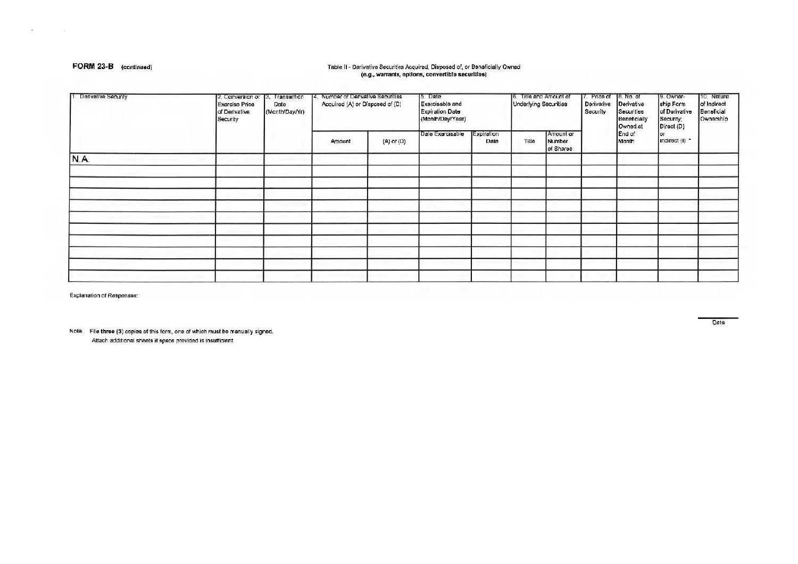## FORM 23-B (continued)

## Table II - Derivative Securities Acquired, Disposed of, or Beneficially Owned (e.g., warrants, options, convertible securities)

| Derivative Security | 2. Canversion or<br><b>Exercise Price</b><br>of Derivative<br>Security | 13. Transaction<br>Date<br>(Month/Day/Yr) | Number of Derivative Securities<br>Acquired (A) or Disposed of (D) |                | 15. Date<br>Exercisable and<br>Expiration Date<br>(Month/Day/Year) |                    | 6. Title and Amount of<br>Underlying Securities |                                  | 7. Price of 8. No. of<br>Derivative<br>Security | Derivative<br>Securities<br>Beneficially<br>Owned at | 9. Owner-<br>ship Form<br>of Derivative<br>Security;<br>Direct (D) | 10. Nature<br>of Indirect<br>Beneficial<br>Ownership |
|---------------------|------------------------------------------------------------------------|-------------------------------------------|--------------------------------------------------------------------|----------------|--------------------------------------------------------------------|--------------------|-------------------------------------------------|----------------------------------|-------------------------------------------------|------------------------------------------------------|--------------------------------------------------------------------|------------------------------------------------------|
|                     |                                                                        |                                           | Amount                                                             | $(A)$ or $(D)$ | Date Exercisable                                                   | Expiration<br>Date | Tille                                           | Amount or<br>Number<br>of Shares |                                                 | End of<br>Month                                      | <b>O</b><br>Indirect (I) *                                         |                                                      |
| N.A.                |                                                                        |                                           |                                                                    |                |                                                                    |                    |                                                 |                                  |                                                 |                                                      |                                                                    |                                                      |
|                     |                                                                        |                                           |                                                                    |                |                                                                    |                    |                                                 |                                  |                                                 |                                                      |                                                                    |                                                      |
|                     |                                                                        |                                           |                                                                    |                |                                                                    |                    |                                                 |                                  |                                                 |                                                      |                                                                    |                                                      |
|                     |                                                                        |                                           |                                                                    |                |                                                                    |                    |                                                 |                                  |                                                 |                                                      |                                                                    |                                                      |
|                     |                                                                        |                                           |                                                                    |                |                                                                    |                    |                                                 |                                  |                                                 |                                                      |                                                                    |                                                      |
|                     |                                                                        |                                           |                                                                    |                |                                                                    |                    |                                                 |                                  |                                                 |                                                      |                                                                    |                                                      |
|                     |                                                                        |                                           |                                                                    |                |                                                                    |                    |                                                 |                                  |                                                 |                                                      |                                                                    |                                                      |
|                     |                                                                        |                                           |                                                                    |                |                                                                    |                    |                                                 |                                  |                                                 |                                                      |                                                                    |                                                      |
|                     |                                                                        |                                           |                                                                    |                |                                                                    |                    |                                                 |                                  |                                                 |                                                      |                                                                    |                                                      |

Explanation of Responses:

Note: File three (3) copies of this form, one of which must be manually signed. Attach additional sheets if space provided is insufficient.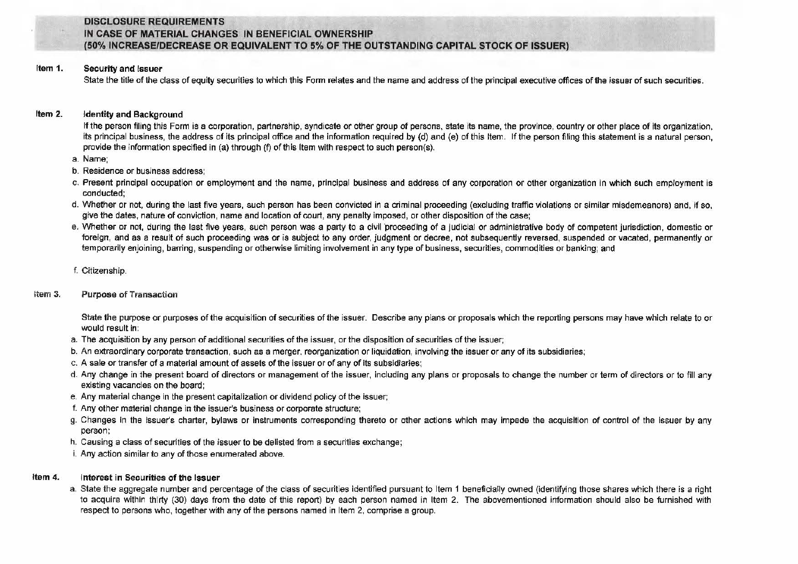## DISCLOSURE REQUIREMENTS IN CASE OF MATERIAL CHANGES IN BENEFICIAL OWNERSHIP (50% INCREASEIDECREASE OR EQUIVALENT TO 5% OF THE OUTSTANDING CAPITAL STOCK OF ISSUER)

### Item 1. Security and Issuer

State the title of the class of equity securities to which this Form relates and the name and address of the principal executive offices of the issuer of such securities.

## Item 2. Identity and Background

If the person filing this Form is a corporation, partnership, syndicate or other group of persons, state its name, the province, country or other place of its organization, its principal business, the address of its principal office and the information required by (d) and (e) of this Item. If the person filing this statement is a natural person, provide the information specified in (a) through (f) of this Item with respect to such person(s).

- a. Name;
- b. Residence or business address;
- c. Present principal occupation or employment and the name, principal business and address of any corporation or other organization in which such employment is conducted;
- d. Whether or not, during the last five years, such person has been convicted in a criminal proceeding (excluding traffic violations or similar misdemeanors) and, if so, give the dates, nature of conviction, name and location of court, any penalty imposed, or other disposition of the case;
- e. Whether or not, during the last five years, such person was a party to a civil 'proceeding of a judicial or administrative body of competent jurisdiction, domestic or foreign, and as a result of such proceeding was or is subject to any order, judgment or decree, not subsequently reversed, suspended or vacated, permanently or temporarily enjoining, barring, suspending or otherwise limiting involvement in any type of business, securities, commodities or banking; and
- f. Citizenship.

## Item 3. Purpose of Transaction

State the purpose or purposes of the acquisition of securities of the issuer. Describe any plans or proposals which the reporting persons may have which relate to or would result in:

- a. The acquisition by any person of additional securities of the issuer, or the disposition of securities of the issuer;
- b. An extraordinary corporate transaction, such as a merger, reorganization or liquidation, involving the issuer or any of its subsidiaries;
- c. A sale or transfer of a material amount of assets of the issuer or of any of its subsidiaries;
- d. Any change in the present board of directors or management of the issuer, including any plans or proposals to change the number or term of directors or to fill any existing vacancies on the board;
- e. Any material change in the present capitalization or dividend policy of the issuer;
- f. Any other material change in the issuer's business or corporate structure;
- g. Changes in the issuer's charter, bylaws or instruments corresponding thereto or other actions which may impede the acquisition of control of the issuer by any person;
- h. Causing a class of securities of the issuer to be delisted from a securities exchange;
- i. Any action similar to any of those enumerated above.

## Item 4. Interest in Securities of the Issuer

a. State the aggregate number and percentage of the class of securities identified pursuant to Item 1 beneficially owned (identifying those shares which there is a right to acquire within thirty (30) days from the date of this report) by each person named in Item 2. The abovementioned information should also be furnished with respect to persons who, together with any of the persons named in Item 2, comprise a group.